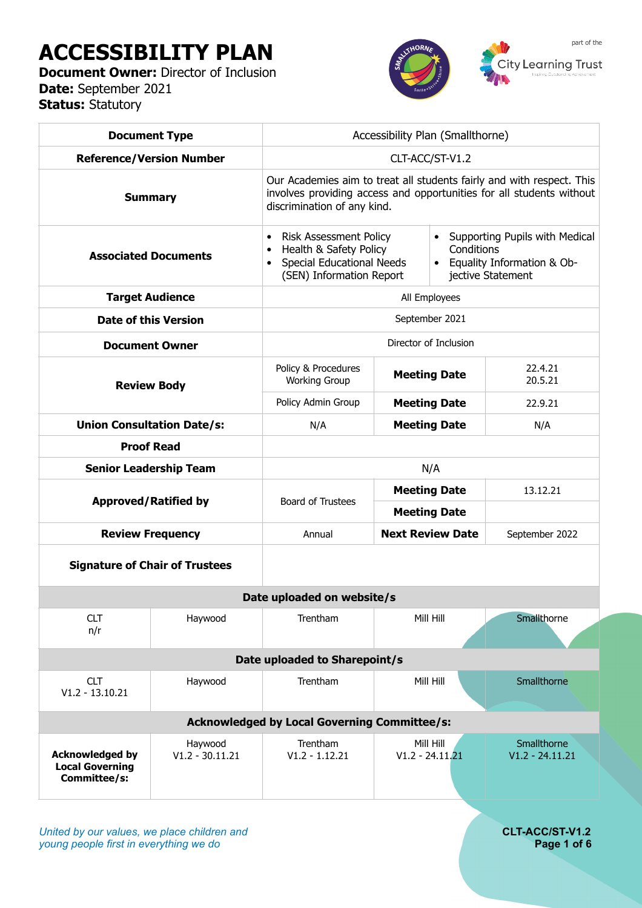# **ACCESSIBILITY PLAN**

**Document Owner: Director of Inclusion Date:** September 2021 **Status:** Statutory



| <b>Document Type</b>                                             |                                       | Accessibility Plan (Smallthorne)                                                                                                                                             |                         |                                                                                                     |                                  |  |  |  |
|------------------------------------------------------------------|---------------------------------------|------------------------------------------------------------------------------------------------------------------------------------------------------------------------------|-------------------------|-----------------------------------------------------------------------------------------------------|----------------------------------|--|--|--|
| <b>Reference/Version Number</b>                                  |                                       | CLT-ACC/ST-V1.2                                                                                                                                                              |                         |                                                                                                     |                                  |  |  |  |
| <b>Summary</b>                                                   |                                       | Our Academies aim to treat all students fairly and with respect. This<br>involves providing access and opportunities for all students without<br>discrimination of any kind. |                         |                                                                                                     |                                  |  |  |  |
| <b>Associated Documents</b>                                      |                                       | <b>Risk Assessment Policy</b><br>$\bullet$<br>Health & Safety Policy<br>$\bullet$<br><b>Special Educational Needs</b><br>$\bullet$<br>(SEN) Information Report               |                         | • Supporting Pupils with Medical<br>Conditions<br>• Equality Information & Ob-<br>jective Statement |                                  |  |  |  |
| <b>Target Audience</b>                                           |                                       | All Employees                                                                                                                                                                |                         |                                                                                                     |                                  |  |  |  |
| <b>Date of this Version</b>                                      |                                       | September 2021                                                                                                                                                               |                         |                                                                                                     |                                  |  |  |  |
| <b>Document Owner</b>                                            |                                       | Director of Inclusion                                                                                                                                                        |                         |                                                                                                     |                                  |  |  |  |
| <b>Review Body</b>                                               |                                       | Policy & Procedures<br><b>Working Group</b>                                                                                                                                  | <b>Meeting Date</b>     |                                                                                                     | 22.4.21<br>20.5.21               |  |  |  |
|                                                                  |                                       | Policy Admin Group                                                                                                                                                           | <b>Meeting Date</b>     |                                                                                                     | 22.9.21                          |  |  |  |
| <b>Union Consultation Date/s:</b>                                |                                       | N/A                                                                                                                                                                          | <b>Meeting Date</b>     |                                                                                                     | N/A                              |  |  |  |
|                                                                  | <b>Proof Read</b>                     |                                                                                                                                                                              |                         |                                                                                                     |                                  |  |  |  |
| <b>Senior Leadership Team</b>                                    |                                       | N/A                                                                                                                                                                          |                         |                                                                                                     |                                  |  |  |  |
| <b>Approved/Ratified by</b>                                      |                                       | <b>Board of Trustees</b>                                                                                                                                                     | <b>Meeting Date</b>     |                                                                                                     | 13.12.21                         |  |  |  |
|                                                                  |                                       |                                                                                                                                                                              | <b>Meeting Date</b>     |                                                                                                     |                                  |  |  |  |
| <b>Review Frequency</b>                                          |                                       | Annual                                                                                                                                                                       | <b>Next Review Date</b> |                                                                                                     | September 2022                   |  |  |  |
|                                                                  | <b>Signature of Chair of Trustees</b> |                                                                                                                                                                              |                         |                                                                                                     |                                  |  |  |  |
|                                                                  |                                       | Date uploaded on website/s                                                                                                                                                   |                         |                                                                                                     |                                  |  |  |  |
| <b>CLT</b><br>n/r                                                | Haywood                               | Trentham                                                                                                                                                                     | Mill Hill               |                                                                                                     | Smallthorne                      |  |  |  |
|                                                                  | Date uploaded to Sharepoint/s         |                                                                                                                                                                              |                         |                                                                                                     |                                  |  |  |  |
| <b>CLT</b><br>$V1.2 - 13.10.21$                                  | Haywood                               | Trentham                                                                                                                                                                     | Mill Hill               |                                                                                                     | Smallthorne                      |  |  |  |
| <b>Acknowledged by Local Governing Committee/s:</b>              |                                       |                                                                                                                                                                              |                         |                                                                                                     |                                  |  |  |  |
| <b>Acknowledged by</b><br><b>Local Governing</b><br>Committee/s: | Haywood<br>$V1.2 - 30.11.21$          | Trentham<br>$V1.2 - 1.12.21$                                                                                                                                                 |                         | Mill Hill<br>$V1.2 - 24.11.21$                                                                      | Smallthorne<br>$V1.2 - 24.11.21$ |  |  |  |

*United by our values, we place children and* **CLT-ACC/ST-V1.2**<br>*Page 1 of 6* **CLT-ACC/ST-V1.2** *young people first in everything we do*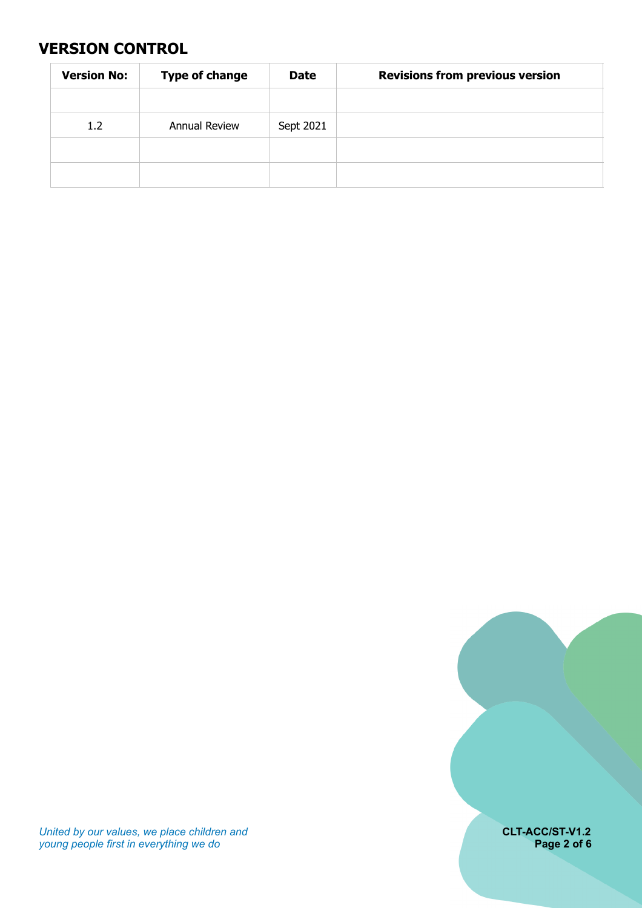#### <span id="page-1-0"></span>**VERSION CONTROL**

| <b>Version No:</b> | <b>Type of change</b> | <b>Date</b> | <b>Revisions from previous version</b> |
|--------------------|-----------------------|-------------|----------------------------------------|
|                    |                       |             |                                        |
| 1.2                | <b>Annual Review</b>  | Sept 2021   |                                        |
|                    |                       |             |                                        |
|                    |                       |             |                                        |

*United by our values, we place children and* **CLT-ACC/ST-V1.2** *young people first in everything we do* **Page 2 of 6**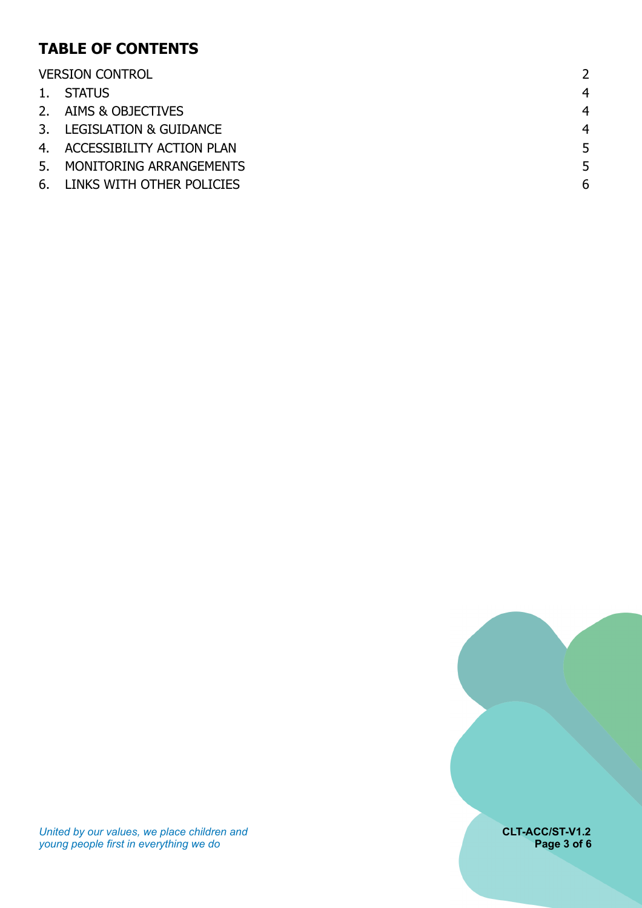# **TABLE OF CONTENTS**

| <b>VERSION CONTROL</b> |                              |                |
|------------------------|------------------------------|----------------|
|                        | 1. STATUS                    | 4              |
|                        | 2. AIMS & OBJECTIVES         | $\overline{4}$ |
|                        | 3. LEGISLATION & GUIDANCE    | 4              |
|                        | 4. ACCESSIBILITY ACTION PLAN | 5              |
|                        | 5. MONITORING ARRANGEMENTS   | 5              |
|                        | 6. LINKS WITH OTHER POLICIES | 6              |

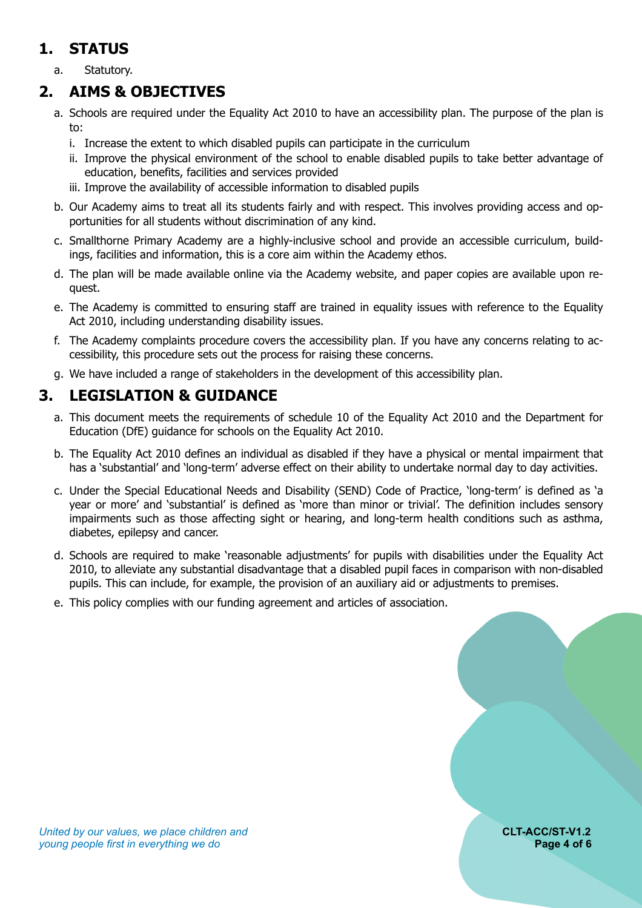# <span id="page-3-0"></span>**1. STATUS**

a. Statutory.

#### **2. AIMS & OBJECTIVES**

- <span id="page-3-1"></span>a. Schools are required under the Equality Act 2010 to have an accessibility plan. The purpose of the plan is to:
	- i. Increase the extent to which disabled pupils can participate in the curriculum
	- ii. Improve the physical environment of the school to enable disabled pupils to take better advantage of education, benefits, facilities and services provided
	- iii. Improve the availability of accessible information to disabled pupils
- b. Our Academy aims to treat all its students fairly and with respect. This involves providing access and opportunities for all students without discrimination of any kind.
- c. Smallthorne Primary Academy are a highly-inclusive school and provide an accessible curriculum, buildings, facilities and information, this is a core aim within the Academy ethos.
- d. The plan will be made available online via the Academy website, and paper copies are available upon request.
- e. The Academy is committed to ensuring staff are trained in equality issues with reference to the Equality Act 2010, including understanding disability issues.
- f. The Academy complaints procedure covers the accessibility plan. If you have any concerns relating to accessibility, this procedure sets out the process for raising these concerns.
- <span id="page-3-2"></span>g. We have included a range of stakeholders in the development of this accessibility plan.

#### **3. LEGISLATION & GUIDANCE**

- a. This document meets the requirements of schedule 10 of the Equality Act 2010 and the Department for Education (DfE) guidance for schools on the Equality Act 2010.
- b. The Equality Act 2010 defines an individual as disabled if they have a physical or mental impairment that has a 'substantial' and 'long-term' adverse effect on their ability to undertake normal day to day activities.
- c. Under the Special Educational Needs and Disability (SEND) Code of Practice, 'long-term' is defined as 'a year or more' and 'substantial' is defined as 'more than minor or trivial'. The definition includes sensory impairments such as those affecting sight or hearing, and long-term health conditions such as asthma, diabetes, epilepsy and cancer.
- d. Schools are required to make 'reasonable adjustments' for pupils with disabilities under the Equality Act 2010, to alleviate any substantial disadvantage that a disabled pupil faces in comparison with non-disabled pupils. This can include, for example, the provision of an auxiliary aid or adjustments to premises.
- e. This policy complies with our funding agreement and articles of association.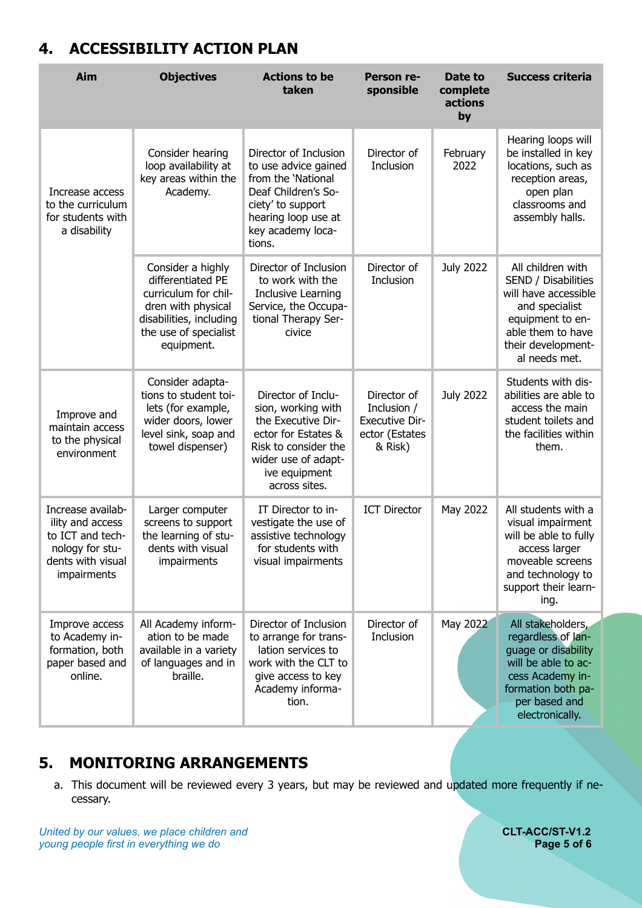### <span id="page-4-0"></span>**4. ACCESSIBILITY ACTION PLAN**

| Aim                                                                                                              | <b>Objectives</b>                                                                                                                                      | <b>Actions to be</b><br>taken                                                                                                                                          | Person re-<br>sponsible                                                          | Date to<br>complete<br>actions<br>by | <b>Success criteria</b>                                                                                                                                             |
|------------------------------------------------------------------------------------------------------------------|--------------------------------------------------------------------------------------------------------------------------------------------------------|------------------------------------------------------------------------------------------------------------------------------------------------------------------------|----------------------------------------------------------------------------------|--------------------------------------|---------------------------------------------------------------------------------------------------------------------------------------------------------------------|
| Increase access<br>to the curriculum<br>for students with<br>a disability                                        | Consider hearing<br>loop availability at<br>key areas within the<br>Academy.                                                                           | Director of Inclusion<br>to use advice gained<br>from the 'National<br>Deaf Children's So-<br>ciety' to support<br>hearing loop use at<br>key academy loca-<br>tions.  | Director of<br>Inclusion                                                         | February<br>2022                     | Hearing loops will<br>be installed in key<br>locations, such as<br>reception areas,<br>open plan<br>classrooms and<br>assembly halls.                               |
|                                                                                                                  | Consider a highly<br>differentiated PE<br>curriculum for chil-<br>dren with physical<br>disabilities, including<br>the use of specialist<br>equipment. | Director of Inclusion<br>to work with the<br>Inclusive Learning<br>Service, the Occupa-<br>tional Therapy Ser-<br>civice                                               | Director of<br>Inclusion                                                         | <b>July 2022</b>                     | All children with<br>SEND / Disabilities<br>will have accessible<br>and specialist<br>equipment to en-<br>able them to have<br>their development-<br>al needs met.  |
| Improve and<br>maintain access<br>to the physical<br>environment                                                 | Consider adapta-<br>tions to student toi-<br>lets (for example,<br>wider doors, lower<br>level sink, soap and<br>towel dispenser)                      | Director of Inclu-<br>sion, working with<br>the Executive Dir-<br>ector for Estates &<br>Risk to consider the<br>wider use of adapt-<br>ive equipment<br>across sites. | Director of<br>Inclusion /<br><b>Executive Dir-</b><br>ector (Estates<br>& Risk) | <b>July 2022</b>                     | Students with dis-<br>abilities are able to<br>access the main<br>student toilets and<br>the facilities within<br>them.                                             |
| Increase availab-<br>ility and access<br>to ICT and tech-<br>nology for stu-<br>dents with visual<br>impairments | Larger computer<br>screens to support<br>the learning of stu-<br>dents with visual<br>impairments                                                      | IT Director to in-<br>vestigate the use of<br>assistive technology<br>for students with<br>visual impairments                                                          | <b>ICT Director</b>                                                              | May 2022                             | All students with a<br>visual impairment<br>will be able to fully<br>access larger<br>moveable screens<br>and technology to<br>support their learn-<br>ing.         |
| Improve access<br>to Academy in-<br>formation, both<br>paper based and<br>online.                                | All Academy inform-<br>ation to be made<br>available in a variety<br>of languages and in<br>braille.                                                   | Director of Inclusion<br>to arrange for trans-<br>lation services to<br>work with the CLT to<br>give access to key<br>Academy informa-<br>tion.                        | Director of<br>Inclusion                                                         | May 2022                             | All stakeholders,<br>regardless of lan-<br>guage or disability<br>will be able to ac-<br>cess Academy in-<br>formation both pa-<br>per based and<br>electronically. |

#### **5. MONITORING ARRANGEMENTS**

<span id="page-4-1"></span>a. This document will be reviewed every 3 years, but may be reviewed and updated more frequently if necessary.

*United by our values, we place children and* **CLT-ACC/ST-V1.2**<br>*Young people first in everything we do* **CLT-ACC/ST-V1.2** *young people first in everything we do*